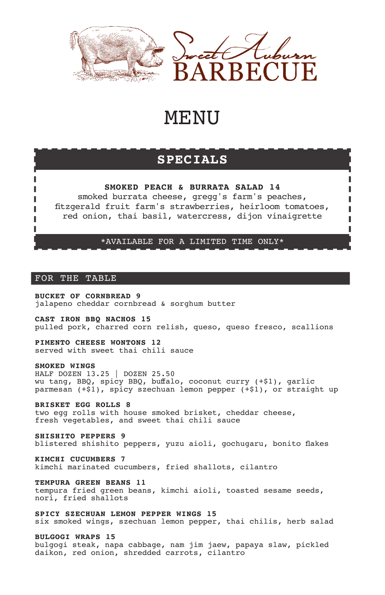



П

# **MENU**

# **SPECIALS**

# **SMOKED PEACH & BURRATA SALAD 14**

smoked burrata cheese, gregg's farm's peaches, ftzgerald fruit farm's strawberries, heirloom tomatoes, red onion, thai basil, watercress, dijon vinaigrette

# \*AVAILABLE FOR A LIMITED TIME ONLY\*

# FOR THE TABLE

ı

**BUCKET OF CORNBREAD 9** jalapeno cheddar cornbread & sorghum butter

**CAST IRON BBQ NACHOS 15** pulled pork, charred corn relish, queso, queso fresco, scallions

**PIMENTO CHEESE WONTONS 12** served with sweet thai chili sauce

#### **SMOKED WINGS**

HALF DOZEN 13.25 | DOZEN 25.50 wu tang, BBQ, spicy BBQ, bufalo, coconut curry (+\$1), garlic parmesan (+\$1), spicy szechuan lemon pepper (+\$1), or straight up

**BRISKET EGG ROLLS 8**

two egg rolls with house smoked brisket, cheddar cheese, fresh vegetables, and sweet thai chili sauce

**SHISHITO PEPPERS 9** blistered shishito peppers, yuzu aioli, gochugaru, bonito fakes

**KIMCHI CUCUMBERS 7** kimchi marinated cucumbers, fried shallots, cilantro

**TEMPURA GREEN BEANS 11** tempura fried green beans, kimchi aioli, toasted sesame seeds, nori, fried shallots

**SPICY SZECHUAN LEMON PEPPER WINGS 15** six smoked wings, szechuan lemon pepper, thai chilis, herb salad

**BULGOGI WRAPS 15**

bulgogi steak, napa cabbage, nam jim jaew, papaya slaw, pickled daikon, red onion, shredded carrots, cilantro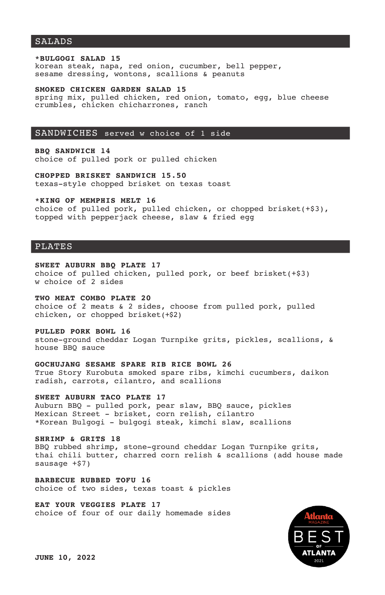# SALADS

#### **\*BULGOGI SALAD 15**

korean steak, napa, red onion, cucumber, bell pepper, sesame dressing, wontons, scallions & peanuts

#### **SMOKED CHICKEN GARDEN SALAD 15**

spring mix, pulled chicken, red onion, tomato, egg, blue cheese crumbles, chicken chicharrones, ranch

#### SANDWICHES served w choice of 1 side

**BBQ SANDWICH 14** choice of pulled pork or pulled chicken

**CHOPPED BRISKET SANDWICH 15.50** texas-style chopped brisket on texas toast

#### **\*KING OF MEMPHIS MELT 16**

choice of pulled pork, pulled chicken, or chopped brisket(+\$3), topped with pepperjack cheese, slaw & fried egg

#### PLATES

#### **SWEET AUBURN BBQ PLATE 17**

choice of pulled chicken, pulled pork, or beef brisket(+\$3) w choice of 2 sides

# **TWO MEAT COMBO PLATE 20**

choice of 2 meats & 2 sides, choose from pulled pork, pulled chicken, or chopped brisket(+\$2)

#### **PULLED PORK BOWL 16**

stone-ground cheddar Logan Turnpike grits, pickles, scallions, & house BBQ sauce

#### **GOCHUJANG SESAME SPARE RIB RICE BOWL 26**

True Story Kurobuta smoked spare ribs, kimchi cucumbers, daikon radish, carrots, cilantro, and scallions

# **SWEET AUBURN TACO PLATE 17**

Auburn BBQ - pulled pork, pear slaw, BBQ sauce, pickles Mexican Street - brisket, corn relish, cilantro \*Korean Bulgogi - bulgogi steak, kimchi slaw, scallions

#### **SHRIMP & GRITS 18**

BBQ rubbed shrimp, stone-ground cheddar Logan Turnpike grits, thai chili butter, charred corn relish & scallions (add house made sausage +\$7)

**BARBECUE RUBBED TOFU 16** choice of two sides, texas toast & pickles

**EAT YOUR VEGGIES PLATE 17** choice of four of our daily homemade sides

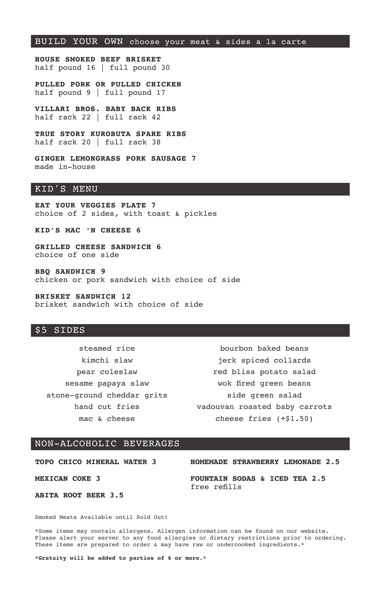# BUILD YOUR OWN choose your meat & sides a la carte

**HOUSE SMOKED BEEF BRISKET** half pound 16 | full pound 30

**PULLED PORK OR PULLED CHICKEN** half pound 9 | full pound 17

**VILLARI BROS. BABY BACK RIBS** half rack 22 | full rack 42

**TRUE STORY KUROBUTA SPARE RIBS** half rack 20 | full rack 38

**GINGER LEMONGRASS PORK SAUSAGE 7** made in-house

### KID'S MENU

**EAT YOUR VEGGIES PLATE 7** choice of 2 sides, with toast & pickles

**KID'S MAC 'N CHEESE 6**

**GRILLED CHEESE SANDWICH 6** choice of one side

**BBQ SANDWICH 9** chicken or pork sandwich with choice of side

**BRISKET SANDWICH 12** brisket sandwich with choice of side

#### \$5 SIDES

steamed rice kimchi slaw pear coleslaw sesame papaya slaw stone-ground cheddar grits hand cut fries mac & cheese

bourbon baked beans jerk spiced collards red bliss potato salad wok fired green beans side green salad vadouvan roasted baby carrots cheese fries (+\$1.50)

#### NON-ALCOHOLIC BEVERAGES

**TOPO CHICO MINERAL WATER 3**

**HOMEMADE STRAWBERRY LEMONADE 2.5**

**MEXICAN COKE 3**

**ABITA ROOT BEER 3.5**

**FOUNTAIN SODAS & ICED TEA 2.5** free reflls

Smoked Meats Available until Sold Out!

\*Some items may contain allergens. Allergen information can be found on our website. Please alert your server to any food allergies or dietary restrictions prior to ordering. These items are prepared to order & may have raw or undercooked ingredients.\*

**\*Gratuity will be added to parties of 6 or more.\***